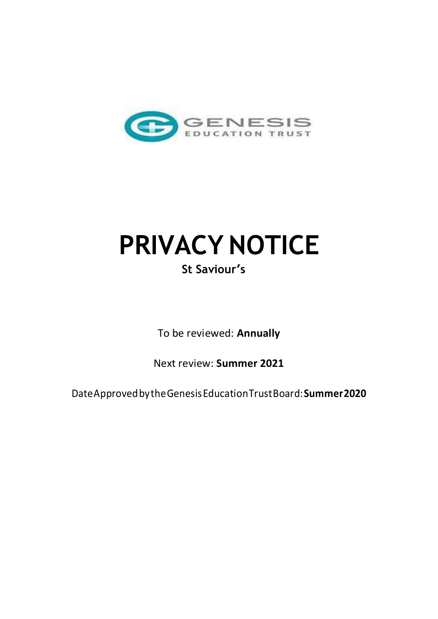

# **PRIVACY NOTICE St Saviour'<sup>s</sup>**

To be reviewed: **Annually** 

Next review: **Summer 2021** 

Date Approved by the Genesis Education Trust Board: **Summer 2020**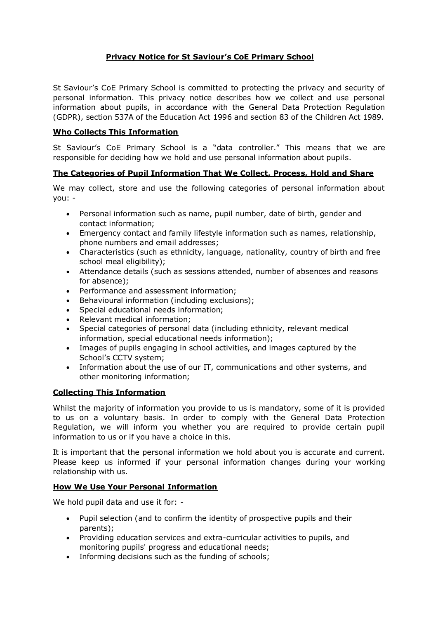# **Privacy Notice for St Saviour's CoE Primary School**

St Saviour's CoE Primary School is committed to protecting the privacy and security of personal information. This privacy notice describes how we collect and use personal information about pupils, in accordance with the General Data Protection Regulation (GDPR), section 537A of the Education Act 1996 and section 83 of the Children Act 1989.

## **Who Collects This Information**

St Saviour's CoE Primary School is a "data controller." This means that we are responsible for deciding how we hold and use personal information about pupils.

### **The Categories of Pupil Information That We Collect, Process, Hold and Share**

We may collect, store and use the following categories of personal information about you: -

- Personal information such as name, pupil number, date of birth, gender and contact information;
- Emergency contact and family lifestyle information such as names, relationship, phone numbers and email addresses;
- Characteristics (such as ethnicity, language, nationality, country of birth and free school meal eligibility);
- Attendance details (such as sessions attended, number of absences and reasons for absence);
- Performance and assessment information;
- Behavioural information (including exclusions);
- Special educational needs information;
- Relevant medical information;
- Special categories of personal data (including ethnicity, relevant medical information, special educational needs information);
- Images of pupils engaging in school activities, and images captured by the School's CCTV system;
- Information about the use of our IT, communications and other systems, and other monitoring information;

### **Collecting This Information**

Whilst the majority of information you provide to us is mandatory, some of it is provided to us on a voluntary basis. In order to comply with the General Data Protection Regulation, we will inform you whether you are required to provide certain pupil information to us or if you have a choice in this.

It is important that the personal information we hold about you is accurate and current. Please keep us informed if your personal information changes during your working relationship with us.

#### **How We Use Your Personal Information**

We hold pupil data and use it for: -

- Pupil selection (and to confirm the identity of prospective pupils and their parents);
- Providing education services and extra-curricular activities to pupils, and monitoring pupils' progress and educational needs;
- Informing decisions such as the funding of schools;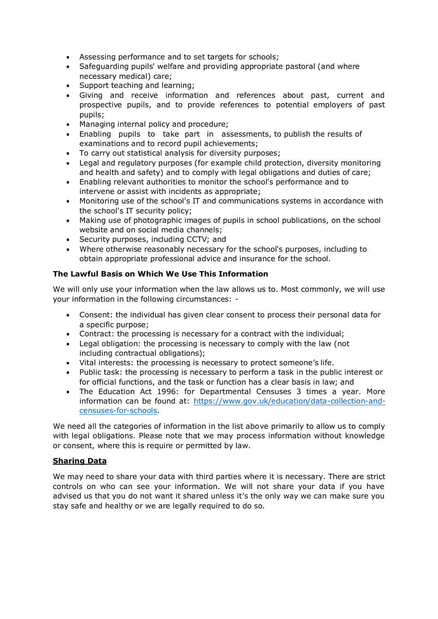- Assessing performance and to set targets for schools;
- Safeguarding pupils' welfare and providing appropriate pastoral (and where necessary medical) care;
- Support teaching and learning;
- Giving and receive information and references about past, current and prospective pupils, and to provide references to potential employers of past pupils;
- Managing internal policy and procedure;
- Enabling pupils to take part in assessments, to publish the results of examinations and to record pupil achievements;
- To carry out statistical analysis for diversity purposes;
- Legal and regulatory purposes (for example child protection, diversity monitoring and health and safety) and to comply with legal obligations and duties of care;
- Enabling relevant authorities to monitor the school's performance and to intervene or assist with incidents as appropriate;
- Monitoring use of the school's IT and communications systems in accordance with the school's IT security policy;
- Making use of photographic images of pupils in school publications, on the school website and on social media channels;
- Security purposes, including CCTV; and
- Where otherwise reasonably necessary for the school's purposes, including to obtain appropriate professional advice and insurance for the school.

## **The Lawful Basis on Which We Use This Information**

We will only use your information when the law allows us to. Most commonly, we will use your information in the following circumstances: -

- Consent: the individual has given clear consent to process their personal data for a specific purpose;
- Contract: the processing is necessary for a contract with the individual;
- Legal obligation: the processing is necessary to comply with the law (not including contractual obligations);
- Vital interests: the processing is necessary to protect someone's life.
- Public task: the processing is necessary to perform a task in the public interest or for official functions, and the task or function has a clear basis in law; and
- The Education Act 1996: for Departmental Censuses 3 times a year. More information can be found at: [https://www.gov.uk/education/data-collection-and](https://www.gov.uk/education/data-collection-and-censuses-for-schools)[censuses-for-schools.](https://www.gov.uk/education/data-collection-and-censuses-for-schools)

We need all the categories of information in the list above primarily to allow us to comply with legal obligations. Please note that we may process information without knowledge or consent, where this is require or permitted by law.

### **Sharing Data**

We may need to share your data with third parties where it is necessary. There are strict controls on who can see your information. We will not share your data if you have advised us that you do not want it shared unless it's the only way we can make sure you stay safe and healthy or we are legally required to do so.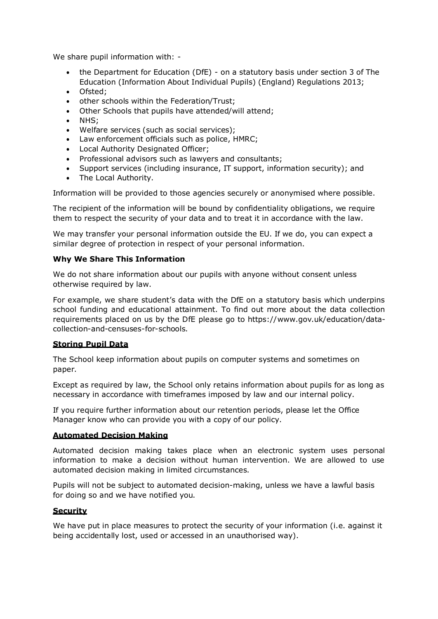We share pupil information with: -

- the Department for Education (DfE) on a statutory basis under section 3 of The Education (Information About Individual Pupils) (England) Regulations 2013;
- Ofsted;
- other schools within the Federation/Trust;
- Other Schools that pupils have attended/will attend;
- NHS;
- Welfare services (such as social services);
- Law enforcement officials such as police, HMRC;
- Local Authority Designated Officer;
- Professional advisors such as lawyers and consultants;
- Support services (including insurance, IT support, information security); and
- The Local Authority.

Information will be provided to those agencies securely or anonymised where possible.

The recipient of the information will be bound by confidentiality obligations, we require them to respect the security of your data and to treat it in accordance with the law.

We may transfer your personal information outside the EU. If we do, you can expect a similar degree of protection in respect of your personal information.

### **Why We Share This Information**

We do not share information about our pupils with anyone without consent unless otherwise required by law.

For example, we share student's data with the DfE on a statutory basis which underpins school funding and educational attainment. To find out more about the data collection requirements placed on us by the DfE please go to https:/[/www.gov.uk/education/data](http://www.gov.uk/education/data-)collection-and-censuses-for-schools.

### **Storing Pupil Data**

The School keep information about pupils on computer systems and sometimes on paper.

Except as required by law, the School only retains information about pupils for as long as necessary in accordance with timeframes imposed by law and our internal policy.

If you require further information about our retention periods, please let the Office Manager know who can provide you with a copy of our policy.

### **Automated Decision Making**

Automated decision making takes place when an electronic system uses personal information to make a decision without human intervention. We are allowed to use automated decision making in limited circumstances.

Pupils will not be subject to automated decision-making, unless we have a lawful basis for doing so and we have notified you.

### **Security**

We have put in place measures to protect the security of your information (i.e. against it being accidentally lost, used or accessed in an unauthorised way).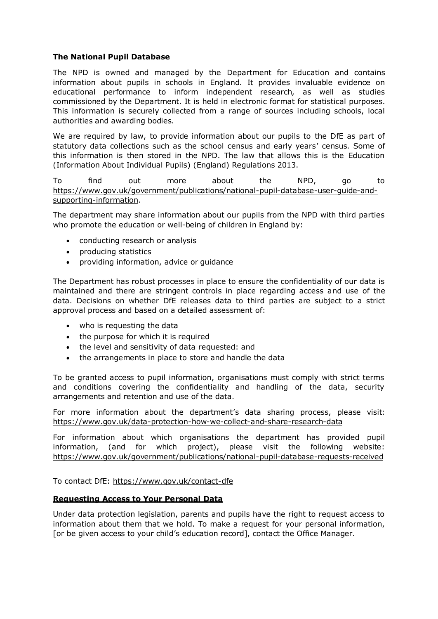### **The National Pupil Database**

The NPD is owned and managed by the Department for Education and contains information about pupils in schools in England. It provides invaluable evidence on educational performance to inform independent research, as well as studies commissioned by the Department. It is held in electronic format for statistical purposes. This information is securely collected from a range of sources including schools, local authorities and awarding bodies.

We are required by law, to provide information about our pupils to the DfE as part of statutory data collections such as the school census and early years' census. Some of this information is then stored in the NPD. The law that allows this is the Education (Information About Individual Pupils) (England) Regulations 2013.

To find out more about the NPD, go to [https://www.gov.uk/government/publications/national-pupil-database-user-guide-and](https://www.gov.uk/government/publications/national-pupil-database-user-guide-and-supporting-information)[supporting-information.](https://www.gov.uk/government/publications/national-pupil-database-user-guide-and-supporting-information)

The department may share information about our pupils from the NPD with third parties who promote the education or well-being of children in England by:

- conducting research or analysis
- producing statistics
- providing information, advice or guidance

The Department has robust processes in place to ensure the confidentiality of our data is maintained and there are stringent controls in place regarding access and use of the data. Decisions on whether DfE releases data to third parties are subject to a strict approval process and based on a detailed assessment of:

- who is requesting the data
- the purpose for which it is required
- the level and sensitivity of data requested: and
- the arrangements in place to store and handle the data

To be granted access to pupil information, organisations must comply with strict terms and conditions covering the confidentiality and handling of the data, security arrangements and retention and use of the data.

For more information about the department's data sharing process, please visit: <https://www.gov.uk/data-protection-how-we-collect-and-share-research-data>

For information about which organisations the department has provided pupil information, (and for which project), please visit the following website: <https://www.gov.uk/government/publications/national-pupil-database-requests-received>

To contact DfE:<https://www.gov.uk/contact-dfe>

#### **Requesting Access to Your Personal Data**

Under data protection legislation, parents and pupils have the right to request access to information about them that we hold. To make a request for your personal information, [or be given access to your child's education record], contact the Office Manager.